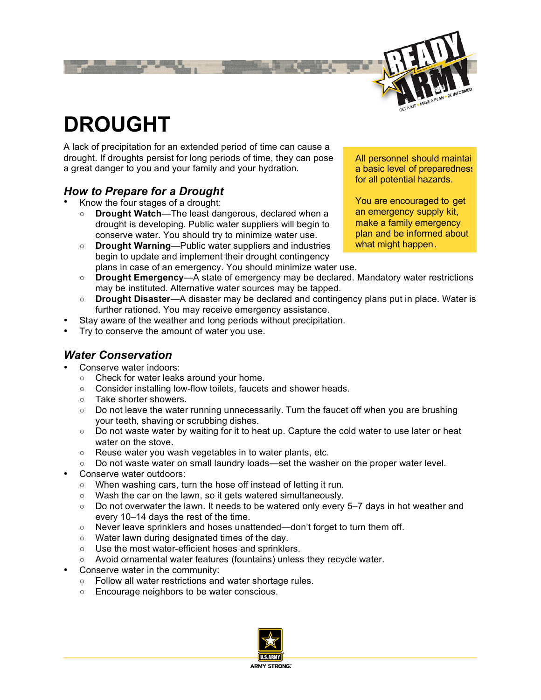

# **DROUGHT**

A lack of precipitation for an extended period of time can cause a drought. If droughts persist for long periods of time, they can pose a great danger to you and your family and your hydration.

#### *How to Prepare for a Drought*

• Know the four stages of a drought:

- **Drought Watch**—The least dangerous, declared when a drought is developing. Public water suppliers will begin to conserve water. You should try to minimize water use.
- **Drought Warning**—Public water suppliers and industries begin to update and implement their drought contingency plans in case of an emergency. You should minimize water use.

All personnel should maintai a basic level of preparedness for all potential hazards.

You are encouraged to get an emergency supply kit, make a family emergency plan and be informed about what might happen.

- **Drought Emergency**—A state of emergency may be declared. Mandatory water restrictions may be instituted. Alternative water sources may be tapped.
- **Drought Disaster**—A disaster may be declared and contingency plans put in place. Water is further rationed. You may receive emergency assistance.
- Stay aware of the weather and long periods without precipitation.
- Try to conserve the amount of water you use.

### *Water Conservation*

- Conserve water indoors:
	- Check for water leaks around your home.
	- Consider installing low-flow toilets, faucets and shower heads.
	- Take shorter showers.
	- Do not leave the water running unnecessarily. Turn the faucet off when you are brushing your teeth, shaving or scrubbing dishes.
	- Do not waste water by waiting for it to heat up. Capture the cold water to use later or heat water on the stove.
	- Reuse water you wash vegetables in to water plants, etc.
	- Do not waste water on small laundry loads—set the washer on the proper water level.
- Conserve water outdoors:
	- When washing cars, turn the hose off instead of letting it run.
	- Wash the car on the lawn, so it gets watered simultaneously.
	- Do not overwater the lawn. It needs to be watered only every 5–7 days in hot weather and every 10–14 days the rest of the time.
	- Never leave sprinklers and hoses unattended—don't forget to turn them off.
	- Water lawn during designated times of the day.
	- Use the most water-efficient hoses and sprinklers.
	- Avoid ornamental water features (fountains) unless they recycle water.
- Conserve water in the community:
	- Follow all water restrictions and water shortage rules.
	- Encourage neighbors to be water conscious.